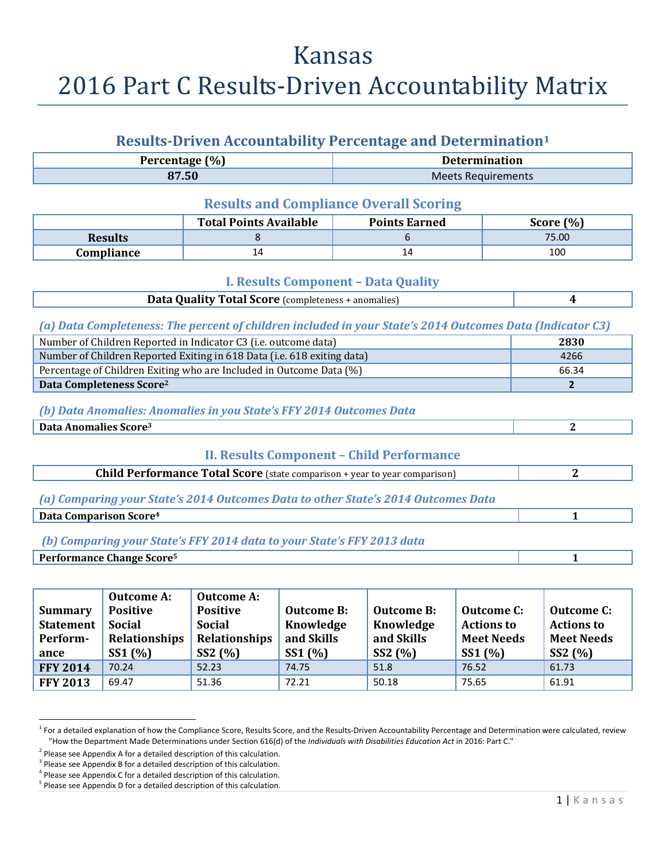# Kansas 2016 Part C Results-Driven Accountability Matrix

### **Results‐Driven Accountability Percentage and Determination1**

| (% )<br>P<br>ercentage! | <b>Determination</b> |
|-------------------------|----------------------|
| 87.50                   | Meets Requirements   |

#### **Results and Compliance Overall Scoring**

|                | <b>Total Points Available</b> | <b>Points Earned</b> | Score $(\%)$ |
|----------------|-------------------------------|----------------------|--------------|
| <b>Results</b> |                               |                      | 75.00        |
| Compliance     | 14                            | Ţτ                   | 100          |

#### **I. Results Component – Data Quality**

| <b>Data Quality Total Score</b> (completeness + anomalies) |  |
|------------------------------------------------------------|--|
|------------------------------------------------------------|--|

#### *(a) Data Completeness: The percent of children included in your State's 2014 Outcomes Data (Indicator C3)*

| Number of Children Reported in Indicator C3 (i.e. outcome data)         | 2830  |
|-------------------------------------------------------------------------|-------|
| Number of Children Reported Exiting in 618 Data (i.e. 618 exiting data) | 4266  |
| Percentage of Children Exiting who are Included in Outcome Data (%)     | 66.34 |
| Data Completeness Score <sup>2</sup>                                    |       |

#### *(b) Data Anomalies: Anomalies in you State's FFY 2014 Outcomes Data*

**Data Anomalies Score3 2**

#### **II. Results Component – Child Performance**

| <b>Child Performance Total Score</b> (state comparison + year to year comparison) |  |
|-----------------------------------------------------------------------------------|--|
|                                                                                   |  |

*(a) Comparing your State's 2014 Outcomes Data to other State's 2014 Outcomes Data*

**Data** Comparison Score<sup>4</sup> **1** 

### *(b) Comparing your State's FFY 2014 data to your State's FFY 2013 data*

#### **Performance Change Score5 1**

| <b>Summary</b>                       | <b>Outcome A:</b><br><b>Positive</b>            | <b>Outcome A:</b><br><b>Positive</b>             | <b>Outcome B:</b>                 | <b>Outcome B:</b>                  | <b>Outcome C:</b>                                | <b>Outcome C:</b>                                 |
|--------------------------------------|-------------------------------------------------|--------------------------------------------------|-----------------------------------|------------------------------------|--------------------------------------------------|---------------------------------------------------|
| <b>Statement</b><br>Perform-<br>ance | <b>Social</b><br><b>Relationships</b><br>SS1(%) | <b>Social</b><br><b>Relationships</b><br>SS2 (%) | Knowledge<br>and Skills<br>SS1(%) | Knowledge<br>and Skills<br>SS2 (%) | <b>Actions to</b><br><b>Meet Needs</b><br>SS1(%) | <b>Actions to</b><br><b>Meet Needs</b><br>SS2 (%) |
| <b>FFY 2014</b>                      | 70.24                                           | 52.23                                            | 74.75                             | 51.8                               | 76.52                                            | 61.73                                             |
| <b>FFY 2013</b>                      | 69.47                                           | 51.36                                            | 72.21                             | 50.18                              | 75.65                                            | 61.91                                             |

 $^1$  For a detailed explanation of how the Compliance Score, Results Score, and the Results-Driven Accountability Percentage and Determination were calculated, review "How the Department Made Determinations under Section 616(d) of the *Individuals with Disabilities Education Act* in 2016: Part C."

 $2$  Please see Appendix A for a detailed description of this calculation.

<sup>&</sup>lt;sup>3</sup> Please see Appendix B for a detailed description of this calculation.

 $4$  Please see Appendix C for a detailed description of this calculation.

<sup>&</sup>lt;sup>5</sup> Please see Appendix D for a detailed description of this calculation.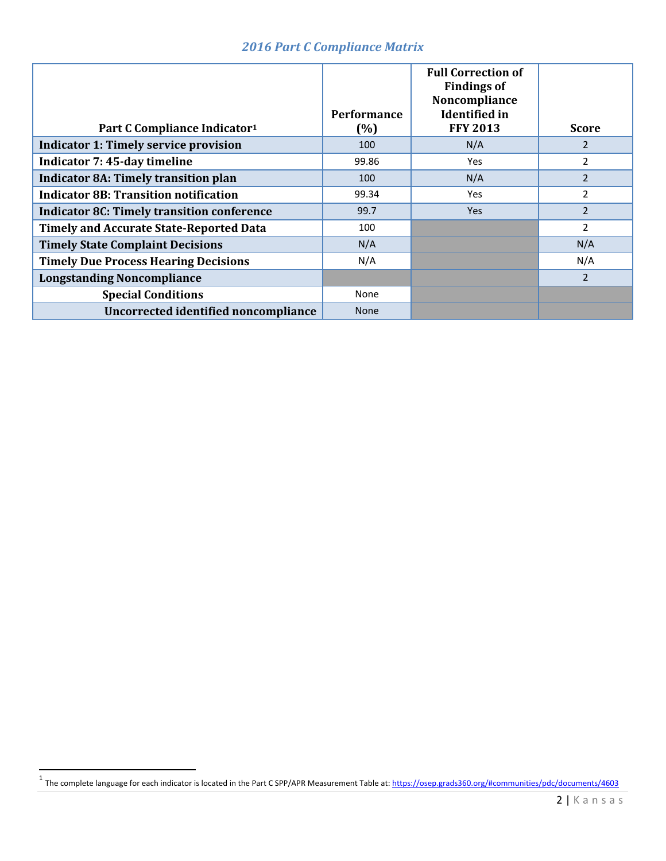### *2016 Part C Compliance Matrix*

| Part C Compliance Indicator <sup>1</sup>          | <b>Performance</b><br>(%) | <b>Full Correction of</b><br><b>Findings of</b><br>Noncompliance<br><b>Identified</b> in<br><b>FFY 2013</b> | <b>Score</b>   |
|---------------------------------------------------|---------------------------|-------------------------------------------------------------------------------------------------------------|----------------|
| <b>Indicator 1: Timely service provision</b>      | 100                       | N/A                                                                                                         | $\overline{2}$ |
| Indicator 7: 45-day timeline                      | 99.86                     | Yes                                                                                                         | $\overline{2}$ |
| <b>Indicator 8A: Timely transition plan</b>       | 100                       | N/A                                                                                                         | 2              |
| <b>Indicator 8B: Transition notification</b>      | 99.34                     | Yes                                                                                                         | $\overline{2}$ |
| <b>Indicator 8C: Timely transition conference</b> | 99.7                      | <b>Yes</b>                                                                                                  | 2              |
| <b>Timely and Accurate State-Reported Data</b>    | 100                       |                                                                                                             | $\overline{2}$ |
| <b>Timely State Complaint Decisions</b>           | N/A                       |                                                                                                             | N/A            |
| <b>Timely Due Process Hearing Decisions</b>       | N/A                       |                                                                                                             | N/A            |
| <b>Longstanding Noncompliance</b>                 |                           |                                                                                                             | 2              |
| <b>Special Conditions</b>                         | None                      |                                                                                                             |                |
| Uncorrected identified noncompliance              | <b>None</b>               |                                                                                                             |                |

<sup>&</sup>lt;sup>1</sup> The complete language for each indicator is located in the Part C SPP/APR Measurement Table at: <u>https://osep.grads360.org/#communities/pdc/documents/4603</u>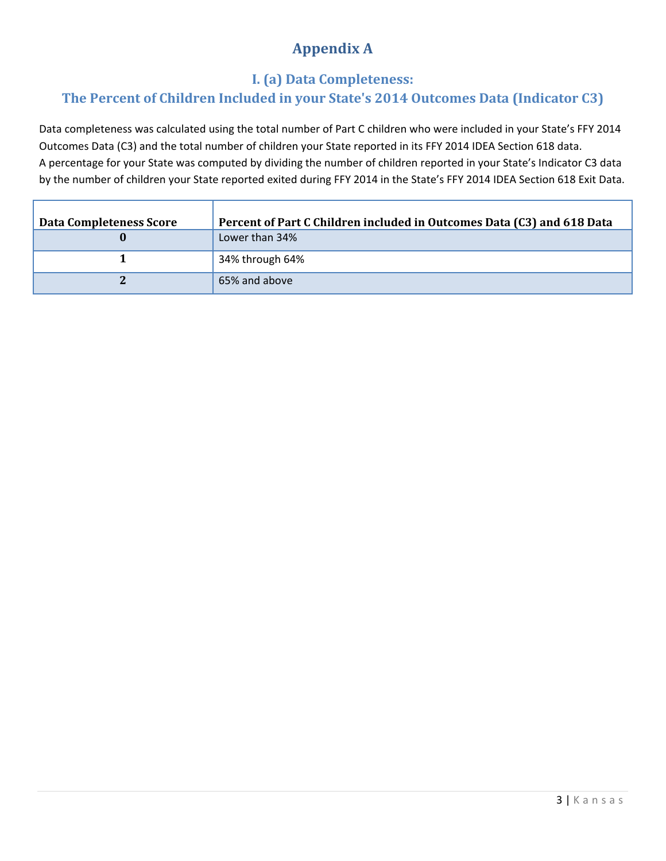# **Appendix A**

### **I. (a) Data Completeness:**

### **The Percent of Children Included in your State's 2014 Outcomes Data (Indicator C3)**

Data completeness was calculated using the total number of Part C children who were included in your State's FFY 2014 Outcomes Data (C3) and the total number of children your State reported in its FFY 2014 IDEA Section 618 data. A percentage for your State was computed by dividing the number of children reported in your State's Indicator C3 data by the number of children your State reported exited during FFY 2014 in the State's FFY 2014 IDEA Section 618 Exit Data.

| <b>Data Completeness Score</b> | Percent of Part C Children included in Outcomes Data (C3) and 618 Data |
|--------------------------------|------------------------------------------------------------------------|
|                                | Lower than 34%                                                         |
|                                | 34% through 64%                                                        |
|                                | 65% and above                                                          |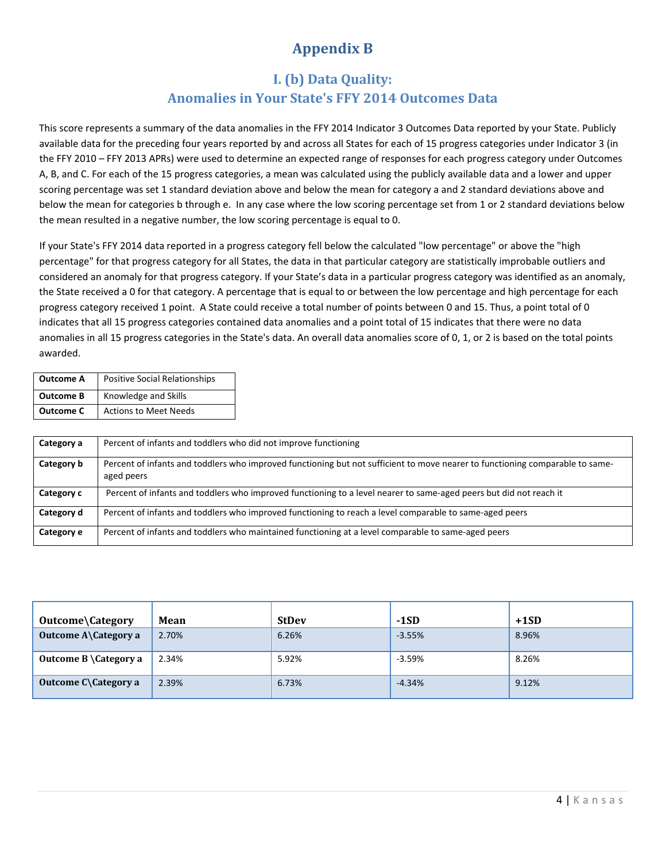# **Appendix B**

### **I. (b)** Data Quality: **Anomalies in Your State's FFY 2014 Outcomes Data**

This score represents a summary of the data anomalies in the FFY 2014 Indicator 3 Outcomes Data reported by your State. Publicly available data for the preceding four years reported by and across all States for each of 15 progress categories under Indicator 3 (in the FFY 2010 – FFY 2013 APRs) were used to determine an expected range of responses for each progress category under Outcomes A, B, and C. For each of the 15 progress categories, a mean was calculated using the publicly available data and a lower and upper scoring percentage was set 1 standard deviation above and below the mean for category a and 2 standard deviations above and below the mean for categories b through e. In any case where the low scoring percentage set from 1 or 2 standard deviations below the mean resulted in a negative number, the low scoring percentage is equal to 0.

If your State's FFY 2014 data reported in a progress category fell below the calculated "low percentage" or above the "high percentage" for that progress category for all States, the data in that particular category are statistically improbable outliers and considered an anomaly for that progress category. If your State's data in a particular progress category was identified as an anomaly, the State received a 0 for that category. A percentage that is equal to or between the low percentage and high percentage for each progress category received 1 point. A State could receive a total number of points between 0 and 15. Thus, a point total of 0 indicates that all 15 progress categories contained data anomalies and a point total of 15 indicates that there were no data anomalies in all 15 progress categories in the State's data. An overall data anomalies score of 0, 1, or 2 is based on the total points awarded.

| <b>Outcome A</b> | Positive Social Relationships |
|------------------|-------------------------------|
| <b>Outcome B</b> | Knowledge and Skills          |
| <b>Outcome C</b> | <b>Actions to Meet Needs</b>  |

| Category a | Percent of infants and toddlers who did not improve functioning                                                                             |
|------------|---------------------------------------------------------------------------------------------------------------------------------------------|
| Category b | Percent of infants and toddlers who improved functioning but not sufficient to move nearer to functioning comparable to same-<br>aged peers |
| Category c | Percent of infants and toddlers who improved functioning to a level nearer to same-aged peers but did not reach it                          |
| Category d | Percent of infants and toddlers who improved functioning to reach a level comparable to same-aged peers                                     |
| Category e | Percent of infants and toddlers who maintained functioning at a level comparable to same-aged peers                                         |

| Outcome\Category                 | Mean  | <b>StDev</b> | $-1SD$   | $+1SD$ |
|----------------------------------|-------|--------------|----------|--------|
| <b>Outcome A\Category a</b>      | 2.70% | 6.26%        | $-3.55%$ | 8.96%  |
| Outcome $B \setminus$ Category a | 2.34% | 5.92%        | $-3.59%$ | 8.26%  |
| Outcome $C \text{Categorical}$ a | 2.39% | 6.73%        | $-4.34%$ | 9.12%  |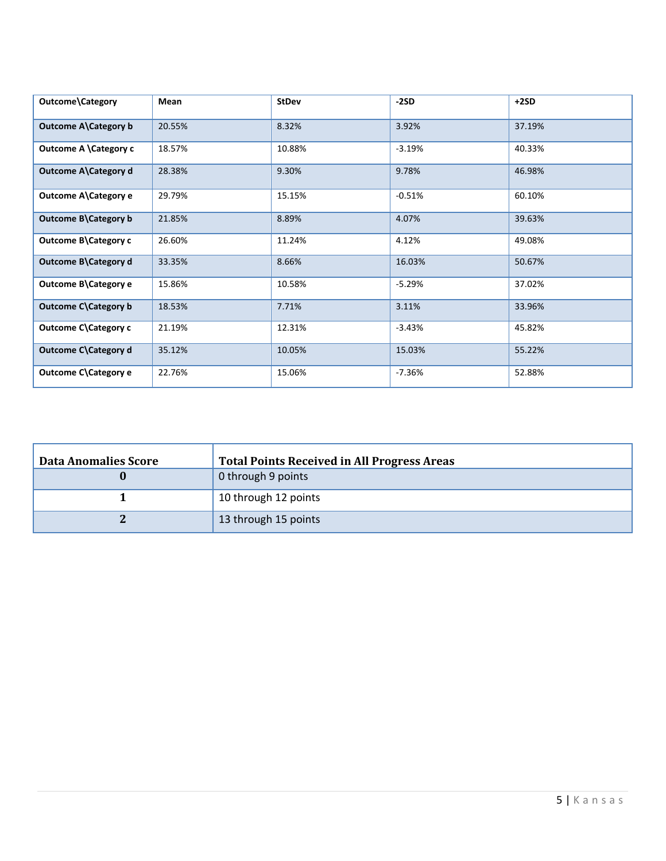| Outcome\Category      | Mean   | <b>StDev</b> | -2SD     | $+2SD$ |
|-----------------------|--------|--------------|----------|--------|
| Outcome A\Category b  | 20.55% | 8.32%        | 3.92%    | 37.19% |
| Outcome A \Category c | 18.57% | 10.88%       | $-3.19%$ | 40.33% |
| Outcome A\Category d  | 28.38% | 9.30%        | 9.78%    | 46.98% |
| Outcome A\Category e  | 29.79% | 15.15%       | $-0.51%$ | 60.10% |
| Outcome B\Category b  | 21.85% | 8.89%        | 4.07%    | 39.63% |
| Outcome B\Category c  | 26.60% | 11.24%       | 4.12%    | 49.08% |
| Outcome B\Category d  | 33.35% | 8.66%        | 16.03%   | 50.67% |
| Outcome B\Category e  | 15.86% | 10.58%       | $-5.29%$ | 37.02% |
| Outcome C\Category b  | 18.53% | 7.71%        | 3.11%    | 33.96% |
| Outcome C\Category c  | 21.19% | 12.31%       | $-3.43%$ | 45.82% |
| Outcome C\Category d  | 35.12% | 10.05%       | 15.03%   | 55.22% |
| Outcome C\Category e  | 22.76% | 15.06%       | $-7.36%$ | 52.88% |

| <b>Data Anomalies Score</b> | <b>Total Points Received in All Progress Areas</b> |
|-----------------------------|----------------------------------------------------|
|                             | 0 through 9 points                                 |
|                             | 10 through 12 points                               |
|                             | 13 through 15 points                               |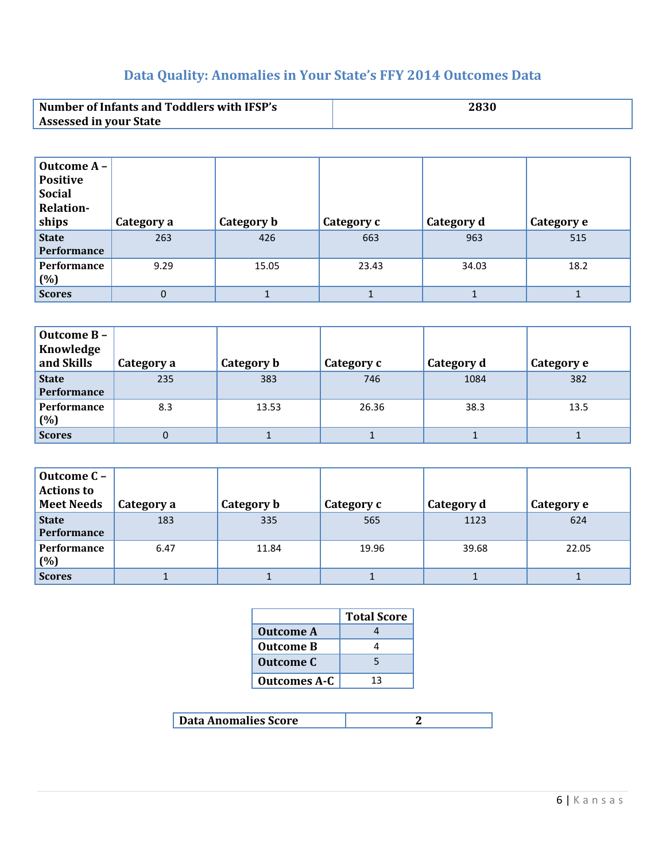# **Data Quality: Anomalies in Your State's FFY 2014 Outcomes Data**

| <b>Number of Infants and Toddlers with IFSP's</b> |  |
|---------------------------------------------------|--|
| <b>Assessed in your State</b>                     |  |

| Outcome A -<br><b>Positive</b><br><b>Social</b><br><b>Relation-</b><br>ships | Category a | Category b | <b>Category c</b> | Category d | Category e |
|------------------------------------------------------------------------------|------------|------------|-------------------|------------|------------|
| <b>State</b><br><b>Performance</b>                                           | 263        | 426        | 663               | 963        | 515        |
| Performance<br>(%)                                                           | 9.29       | 15.05      | 23.43             | 34.03      | 18.2       |
| <b>Scores</b>                                                                | 0          |            |                   |            |            |

| Outcome B-<br>Knowledge<br>and Skills | Category a | Category b | Category c | Category d | Category e |
|---------------------------------------|------------|------------|------------|------------|------------|
| <b>State</b><br>Performance           | 235        | 383        | 746        | 1084       | 382        |
| <b>Performance</b><br>(%)             | 8.3        | 13.53      | 26.36      | 38.3       | 13.5       |
| <b>Scores</b>                         | 0          |            |            |            |            |

| Outcome C -<br><b>Actions to</b><br><b>Meet Needs</b> | Category a | Category b | Category c | Category d | Category e |
|-------------------------------------------------------|------------|------------|------------|------------|------------|
| <b>State</b><br><b>Performance</b>                    | 183        | 335        | 565        | 1123       | 624        |
| Performance<br>(%)                                    | 6.47       | 11.84      | 19.96      | 39.68      | 22.05      |
| <b>Scores</b>                                         |            |            |            |            |            |

|                     | <b>Total Score</b> |
|---------------------|--------------------|
| <b>Outcome A</b>    |                    |
| <b>Outcome B</b>    |                    |
| <b>Outcome C</b>    | 5                  |
| <b>Outcomes A-C</b> | 13                 |

| Data Anomalies Score |  |
|----------------------|--|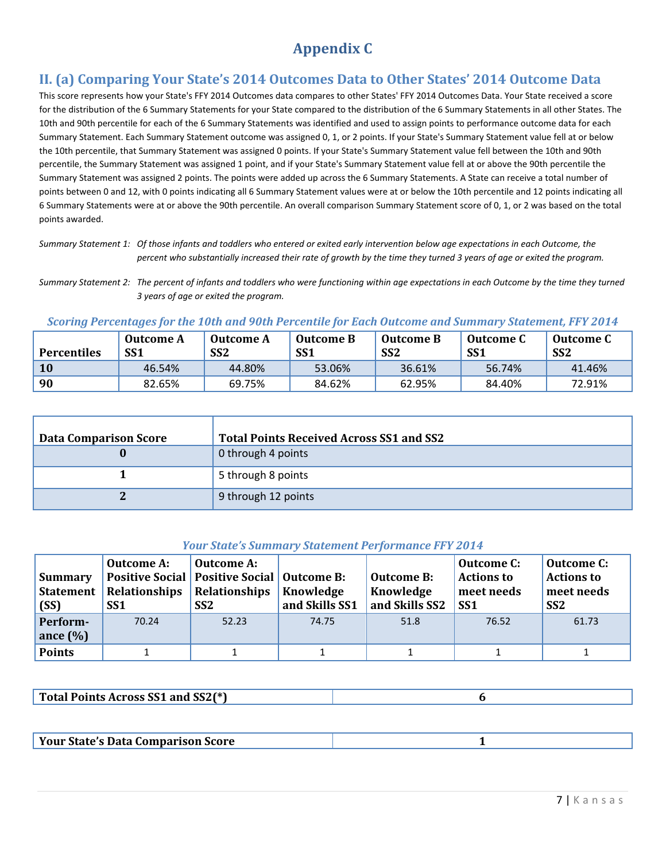# **Appendix C**

### **II. (a) Comparing Your State's 2014 Outcomes Data to Other States' 2014 Outcome Data**

This score represents how your State's FFY 2014 Outcomes data compares to other States' FFY 2014 Outcomes Data. Your State received a score for the distribution of the 6 Summary Statements for your State compared to the distribution of the 6 Summary Statements in all other States. The 10th and 90th percentile for each of the 6 Summary Statements was identified and used to assign points to performance outcome data for each Summary Statement. Each Summary Statement outcome was assigned 0, 1, or 2 points. If your State's Summary Statement value fell at or below the 10th percentile, that Summary Statement was assigned 0 points. If your State's Summary Statement value fell between the 10th and 90th percentile, the Summary Statement was assigned 1 point, and if your State's Summary Statement value fell at or above the 90th percentile the Summary Statement was assigned 2 points. The points were added up across the 6 Summary Statements. A State can receive a total number of points between 0 and 12, with 0 points indicating all 6 Summary Statement values were at or below the 10th percentile and 12 points indicating all 6 Summary Statements were at or above the 90th percentile. An overall comparison Summary Statement score of 0, 1, or 2 was based on the total points awarded.

Summary Statement 1: Of those infants and toddlers who entered or exited early intervention below age expectations in each Outcome, the percent who substantially increased their rate of growth by the time they turned 3 years of age or exited the program.

Summary Statement 2: The percent of infants and toddlers who were functioning within age expectations in each Outcome by the time they turned *3 years of age or exited the program.*

#### *Scoring Percentages for the 10th and 90th Percentile for Each Outcome and Summary Statement, FFY 2014*

| <b>Percentiles</b> | Outcome A<br>SS1 | Outcome A<br>SS <sub>2</sub> | Outcome B<br>SS <sub>1</sub> | <b>Outcome B</b><br>SS <sub>2</sub> | Outcome C<br>SS <sub>1</sub> | Outcome C<br>SS <sub>2</sub> |
|--------------------|------------------|------------------------------|------------------------------|-------------------------------------|------------------------------|------------------------------|
| 10                 | 46.54%           | 44.80%                       | 53.06%                       | 36.61%                              | 56.74%                       | 41.46%                       |
| 90                 | 82.65%           | 69.75%                       | 84.62%                       | 62.95%                              | 84.40%                       | 72.91%                       |

| <b>Data Comparison Score</b> | <b>Total Points Received Across SS1 and SS2</b> |
|------------------------------|-------------------------------------------------|
|                              | 0 through 4 points                              |
|                              | 5 through 8 points                              |
|                              | 9 through 12 points                             |

#### *Your State's Summary Statement Performance FFY 2014*

| <b>Summary</b><br>(SS) | <b>Outcome A:</b><br>Statement   Relationships   Relationships<br>SS <sub>1</sub> | Outcome A:<br><b>Positive Social   Positive Social   Outcome B:</b><br>SS <sub>2</sub> | Knowledge<br>and Skills SS1 | <b>Outcome B:</b><br>Knowledge<br>and Skills SS2 | <b>Outcome C:</b><br><b>Actions to</b><br>meet needs<br>SS <sub>1</sub> | Outcome C:<br><b>Actions to</b><br>meet needs<br>SS <sub>2</sub> |
|------------------------|-----------------------------------------------------------------------------------|----------------------------------------------------------------------------------------|-----------------------------|--------------------------------------------------|-------------------------------------------------------------------------|------------------------------------------------------------------|
| Perform-               | 70.24                                                                             | 52.23                                                                                  | 74.75                       | 51.8                                             | 76.52                                                                   | 61.73                                                            |
| ance $(\%)$            |                                                                                   |                                                                                        |                             |                                                  |                                                                         |                                                                  |
| <b>Points</b>          |                                                                                   |                                                                                        |                             |                                                  |                                                                         |                                                                  |

| Total Points Across SS1 and SS2(*) |  |
|------------------------------------|--|
|                                    |  |

| <b>Your State's Data Comparison Score</b> |
|-------------------------------------------|
|-------------------------------------------|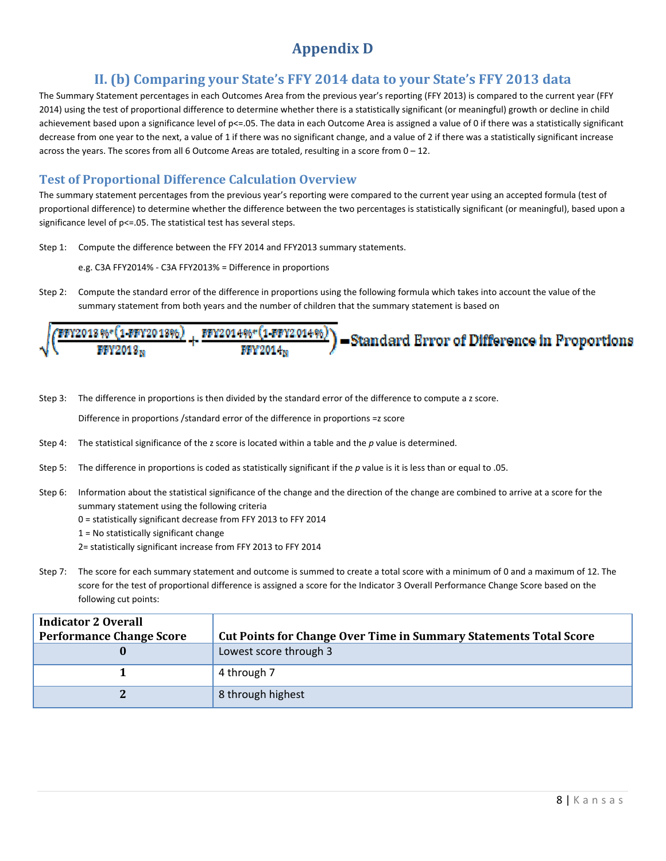# **Appendix D**

### **II. (b) Comparing your State's FFY 2014 data to your State's FFY 2013 data**

The Summary Statement percentages in each Outcomes Area from the previous year's reporting (FFY 2013) is compared to the current year (FFY 2014) using the test of proportional difference to determine whether there is a statistically significant (or meaningful) growth or decline in child achievement based upon a significance level of p<=.05. The data in each Outcome Area is assigned a value of 0 if there was a statistically significant decrease from one year to the next, a value of 1 if there was no significant change, and a value of 2 if there was a statistically significant increase across the years. The scores from all 6 Outcome Areas are totaled, resulting in a score from  $0 - 12$ .

### **Test of Proportional Difference Calculation Overview**

The summary statement percentages from the previous year's reporting were compared to the current year using an accepted formula (test of proportional difference) to determine whether the difference between the two percentages is statistically significant (or meaningful), based upon a significance level of p<=.05. The statistical test has several steps.

- Step 1: Compute the difference between the FFY 2014 and FFY2013 summary statements.
	- e.g. C3A FFY2014% ‐ C3A FFY2013% = Difference in proportions
- Step 2: Compute the standard error of the difference in proportions using the following formula which takes into account the value of the summary statement from both years and the number of children that the summary statement is based on

|   |                      |            | of FFY2018%*(1-FFY2018%) + FFY2014%*(1-FFY2014%)) =Standard Error of Difference in Proportion |
|---|----------------------|------------|-----------------------------------------------------------------------------------------------|
| V | FFY2018 <sub>N</sub> | $WW2014_N$ |                                                                                               |

Step 3: The difference in proportions is then divided by the standard error of the difference to compute a z score.

Difference in proportions /standard error of the difference in proportions =z score

- Step 4: The statistical significance of the z score is located within a table and the *p* value is determined.
- Step 5: The difference in proportions is coded as statistically significant if the *p* value is it is less than or equal to .05.
- Step 6: Information about the statistical significance of the change and the direction of the change are combined to arrive at a score for the summary statement using the following criteria
	- 0 = statistically significant decrease from FFY 2013 to FFY 2014
	- 1 = No statistically significant change
	- 2= statistically significant increase from FFY 2013 to FFY 2014
- Step 7: The score for each summary statement and outcome is summed to create a total score with a minimum of 0 and a maximum of 12. The score for the test of proportional difference is assigned a score for the Indicator 3 Overall Performance Change Score based on the following cut points:

| <b>Indicator 2 Overall</b>      |                                                                          |  |  |  |
|---------------------------------|--------------------------------------------------------------------------|--|--|--|
| <b>Performance Change Score</b> | <b>Cut Points for Change Over Time in Summary Statements Total Score</b> |  |  |  |
|                                 | Lowest score through 3                                                   |  |  |  |
|                                 | 4 through 7                                                              |  |  |  |
|                                 | 8 through highest                                                        |  |  |  |